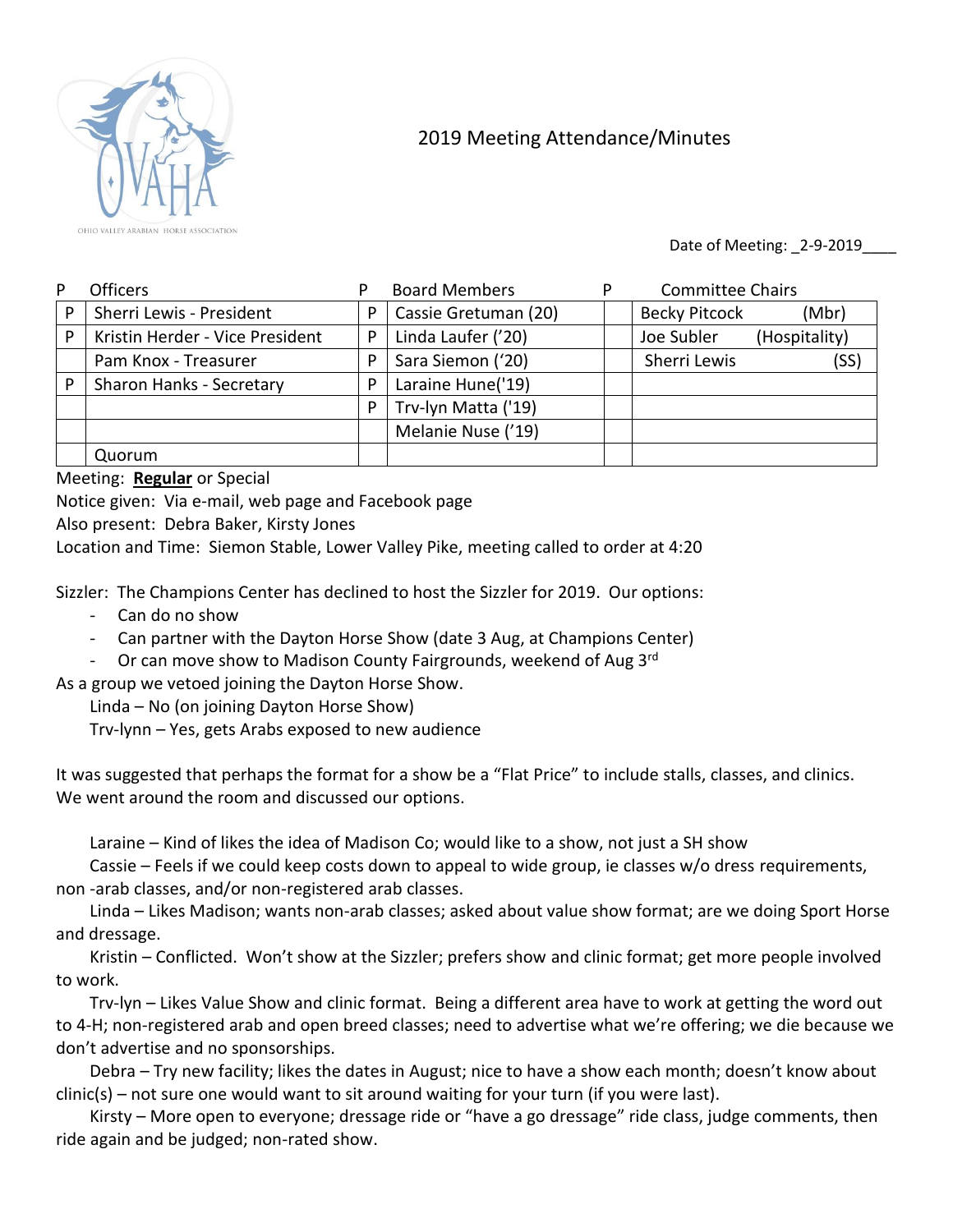

## 2019 Meeting Attendance/Minutes

Date of Meeting: \_2-9-2019\_\_\_\_

| P | Officers                        |   | <b>Board Members</b> | P | <b>Committee Chairs</b> |               |
|---|---------------------------------|---|----------------------|---|-------------------------|---------------|
| P | Sherri Lewis - President        | P | Cassie Gretuman (20) |   | <b>Becky Pitcock</b>    | (Mbr)         |
| P | Kristin Herder - Vice President | P | Linda Laufer ('20)   |   | Joe Subler              | (Hospitality) |
|   | Pam Knox - Treasurer            | P | Sara Siemon ('20)    |   | Sherri Lewis            | (SS)          |
| P | Sharon Hanks - Secretary        | P | Laraine Hune('19)    |   |                         |               |
|   |                                 | P | Trv-lyn Matta ('19)  |   |                         |               |
|   |                                 |   | Melanie Nuse ('19)   |   |                         |               |
|   | Quorum                          |   |                      |   |                         |               |

Meeting: **Regular** or Special

Notice given: Via e-mail, web page and Facebook page

Also present: Debra Baker, Kirsty Jones

Location and Time: Siemon Stable, Lower Valley Pike, meeting called to order at 4:20

Sizzler: The Champions Center has declined to host the Sizzler for 2019. Our options:

- Can do no show
- Can partner with the Dayton Horse Show (date 3 Aug, at Champions Center)
- Or can move show to Madison County Fairgrounds, weekend of Aug 3rd

As a group we vetoed joining the Dayton Horse Show.

Linda – No (on joining Dayton Horse Show)

Trv-lynn – Yes, gets Arabs exposed to new audience

It was suggested that perhaps the format for a show be a "Flat Price" to include stalls, classes, and clinics. We went around the room and discussed our options.

Laraine – Kind of likes the idea of Madison Co; would like to a show, not just a SH show

Cassie – Feels if we could keep costs down to appeal to wide group, ie classes w/o dress requirements, non -arab classes, and/or non-registered arab classes.

Linda – Likes Madison; wants non-arab classes; asked about value show format; are we doing Sport Horse and dressage.

Kristin – Conflicted. Won't show at the Sizzler; prefers show and clinic format; get more people involved to work.

Trv-lyn – Likes Value Show and clinic format. Being a different area have to work at getting the word out to 4-H; non-registered arab and open breed classes; need to advertise what we're offering; we die because we don't advertise and no sponsorships.

Debra – Try new facility; likes the dates in August; nice to have a show each month; doesn't know about clinic(s) – not sure one would want to sit around waiting for your turn (if you were last).

Kirsty – More open to everyone; dressage ride or "have a go dressage" ride class, judge comments, then ride again and be judged; non-rated show.